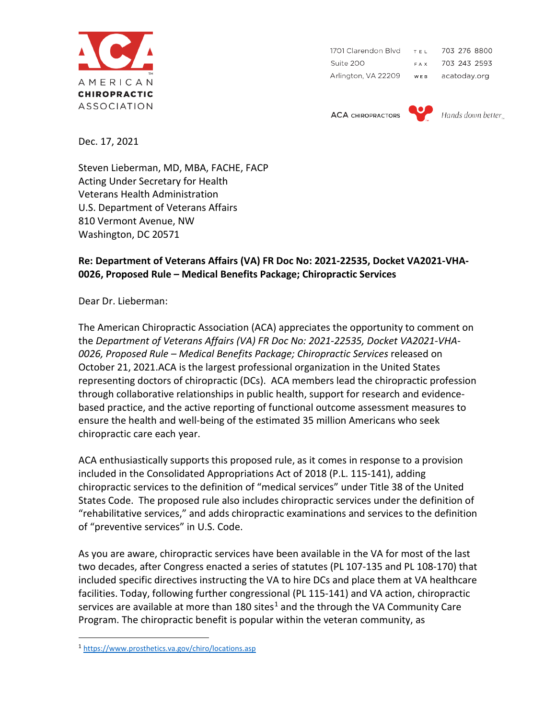

1701 Clarendon Blvd  $T.E.L$ 703 276 8800 Suite 200 FAX 703 243 2593  $W E B$ Arlington, VA 22209 acatoday.org

**ACA CHIROPRACTORS** 



Dec. 17, 2021

Steven Lieberman, MD, MBA, FACHE, FACP Acting Under Secretary for Health Veterans Health Administration U.S. Department of Veterans Affairs 810 Vermont Avenue, NW Washington, DC 20571

## **Re: Department of Veterans Affairs (VA) FR Doc No: 2021-22535, Docket VA2021-VHA-0026, Proposed Rule – Medical Benefits Package; Chiropractic Services**

Dear Dr. Lieberman:

The American Chiropractic Association (ACA) appreciates the opportunity to comment on the *Department of Veterans Affairs (VA) FR Doc No: 2021-22535, Docket VA2021-VHA-0026, Proposed Rule – Medical Benefits Package; Chiropractic Services* released on October 21, 2021.ACA is the largest professional organization in the United States representing doctors of chiropractic (DCs). ACA members lead the chiropractic profession through collaborative relationships in public health, support for research and evidencebased practice, and the active reporting of functional outcome assessment measures to ensure the health and well-being of the estimated 35 million Americans who seek chiropractic care each year.

ACA enthusiastically supports this proposed rule, as it comes in response to a provision included in the Consolidated Appropriations Act of 2018 (P.L. 115-141), adding chiropractic services to the definition of "medical services" under Title 38 of the United States Code. The proposed rule also includes chiropractic services under the definition of "rehabilitative services," and adds chiropractic examinations and services to the definition of "preventive services" in U.S. Code.

As you are aware, chiropractic services have been available in the VA for most of the last two decades, after Congress enacted a series of statutes (PL 107-135 and PL 108-170) that included specific directives instructing the VA to hire DCs and place them at VA healthcare facilities. Today, following further congressional (PL 115-141) and VA action, chiropractic services are available at more than [1](#page-0-0)80 sites<sup>1</sup> and the through the VA Community Care Program. The chiropractic benefit is popular within the veteran community, as

<span id="page-0-0"></span><sup>1</sup> <https://www.prosthetics.va.gov/chiro/locations.asp>